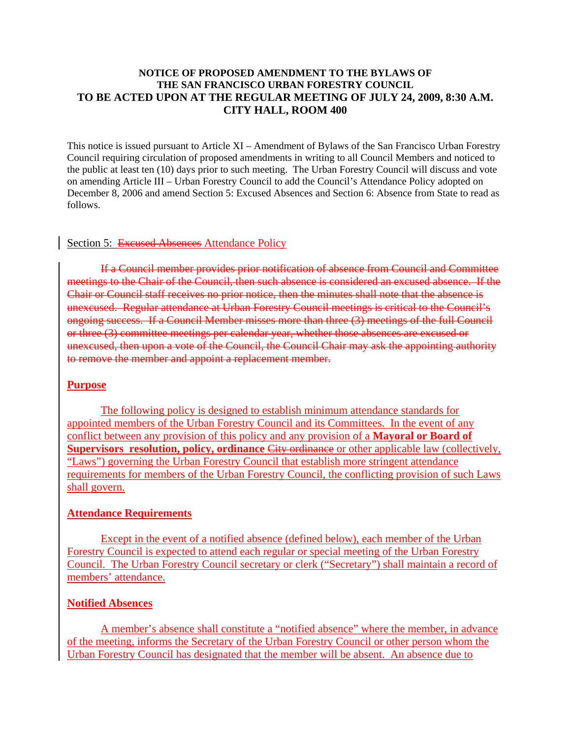## **NOTICE OF PROPOSED AMENDMENT TO THE BYLAWS OF THE SAN FRANCISCO URBAN FORESTRY COUNCIL TO BE ACTED UPON AT THE REGULAR MEETING OF JULY 24, 2009, 8:30 A.M. CITY HALL, ROOM 400**

This notice is issued pursuant to Article XI – Amendment of Bylaws of the San Francisco Urban Forestry Council requiring circulation of proposed amendments in writing to all Council Members and noticed to the public at least ten (10) days prior to such meeting. The Urban Forestry Council will discuss and vote on amending Article III – Urban Forestry Council to add the Council's Attendance Policy adopted on December 8, 2006 and amend Section 5: Excused Absences and Section 6: Absence from State to read as follows.

## Section 5: Excused Absences Attendance Policy

If a Council member provides prior notification of absence from Council and Committee meetings to the Chair of the Council, then such absence is considered an excused absence. If the Chair or Council staff receives no prior notice, then the minutes shall note that the absence is unexcused. Regular attendance at Urban Forestry Council meetings is critical to the Council's ongoing success. If a Council Member misses more than three (3) meetings of the full Council or three (3) committee meetings per calendar year, whether those absences are excused or unexcused, then upon a vote of the Council, the Council Chair may ask the appointing authority to remove the member and appoint a replacement member.

### **Purpose**

The following policy is designed to establish minimum attendance standards for appointed members of the Urban Forestry Council and its Committees. In the event of any conflict between any provision of this policy and any provision of a **Mayoral or Board of Supervisors resolution, policy, ordinance** City ordinance or other applicable law (collectively, "Laws") governing the Urban Forestry Council that establish more stringent attendance requirements for members of the Urban Forestry Council, the conflicting provision of such Laws shall govern.

### **Attendance Requirements**

Except in the event of a notified absence (defined below), each member of the Urban Forestry Council is expected to attend each regular or special meeting of the Urban Forestry Council. The Urban Forestry Council secretary or clerk ("Secretary") shall maintain a record of members' attendance.

### **Notified Absences**

A member's absence shall constitute a "notified absence" where the member, in advance of the meeting, informs the Secretary of the Urban Forestry Council or other person whom the Urban Forestry Council has designated that the member will be absent. An absence due to